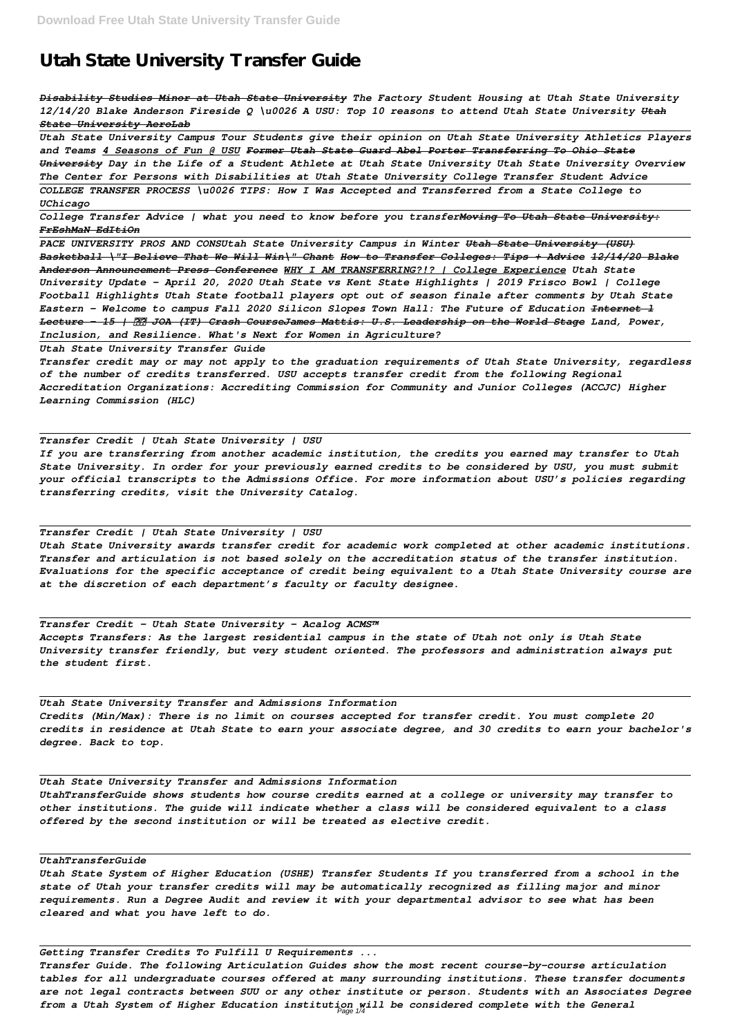# **Utah State University Transfer Guide**

*Disability Studies Minor at Utah State University The Factory Student Housing at Utah State University 12/14/20 Blake Anderson Fireside Q \u0026 A USU: Top 10 reasons to attend Utah State University Utah State University AeroLab*

*Utah State University Campus Tour Students give their opinion on Utah State University Athletics Players and Teams 4 Seasons of Fun @ USU Former Utah State Guard Abel Porter Transferring To Ohio State University Day in the Life of a Student Athlete at Utah State University Utah State University Overview The Center for Persons with Disabilities at Utah State University College Transfer Student Advice COLLEGE TRANSFER PROCESS \u0026 TIPS: How I Was Accepted and Transferred from a State College to UChicago*

*College Transfer Advice | what you need to know before you transferMoving To Utah State University: FrEshMaN EdItiOn*

*PACE UNIVERSITY PROS AND CONSUtah State University Campus in Winter Utah State University (USU) Basketball \"I Believe That We Will Win\" Chant How to Transfer Colleges: Tips + Advice 12/14/20 Blake Anderson Announcement Press Conference WHY I AM TRANSFERRING?!? | College Experience Utah State University Update - April 20, 2020 Utah State vs Kent State Highlights | 2019 Frisco Bowl | College Football Highlights Utah State football players opt out of season finale after comments by Utah State Eastern - Welcome to campus Fall 2020 Silicon Slopes Town Hall: The Future of Education Internet l Lecture - 15 | JOA (IT) Crash CourseJames Mattis: U.S. Leadership on the World Stage Land, Power, Inclusion, and Resilience. What's Next for Women in Agriculture?*

*Utah State University Transfer Guide*

*Transfer credit may or may not apply to the graduation requirements of Utah State University, regardless of the number of credits transferred. USU accepts transfer credit from the following Regional Accreditation Organizations: Accrediting Commission for Community and Junior Colleges (ACCJC) Higher Learning Commission (HLC)*

*Transfer Credit | Utah State University | USU*

*If you are transferring from another academic institution, the credits you earned may transfer to Utah State University. In order for your previously earned credits to be considered by USU, you must submit your official transcripts to the Admissions Office. For more information about USU's policies regarding transferring credits, visit the University Catalog.*

*Transfer Credit | Utah State University | USU Utah State University awards transfer credit for academic work completed at other academic institutions. Transfer and articulation is not based solely on the accreditation status of the transfer institution. Evaluations for the specific acceptance of credit being equivalent to a Utah State University course are at the discretion of each department's faculty or faculty designee.*

*Transfer Credit - Utah State University - Acalog ACMS™ Accepts Transfers: As the largest residential campus in the state of Utah not only is Utah State University transfer friendly, but very student oriented. The professors and administration always put the student first.*

*Utah State University Transfer and Admissions Information Credits (Min/Max): There is no limit on courses accepted for transfer credit. You must complete 20 credits in residence at Utah State to earn your associate degree, and 30 credits to earn your bachelor's degree. Back to top.*

*Utah State University Transfer and Admissions Information*

*UtahTransferGuide shows students how course credits earned at a college or university may transfer to other institutions. The guide will indicate whether a class will be considered equivalent to a class offered by the second institution or will be treated as elective credit.*

#### *UtahTransferGuide*

*Utah State System of Higher Education (USHE) Transfer Students If you transferred from a school in the state of Utah your transfer credits will may be automatically recognized as filling major and minor requirements. Run a Degree Audit and review it with your departmental advisor to see what has been cleared and what you have left to do.*

#### *Getting Transfer Credits To Fulfill U Requirements ...*

*Transfer Guide. The following Articulation Guides show the most recent course-by-course articulation tables for all undergraduate courses offered at many surrounding institutions. These transfer documents are not legal contracts between SUU or any other institute or person. Students with an Associates Degree from a Utah System of Higher Education institution will be considered complete with the General* Page 1/4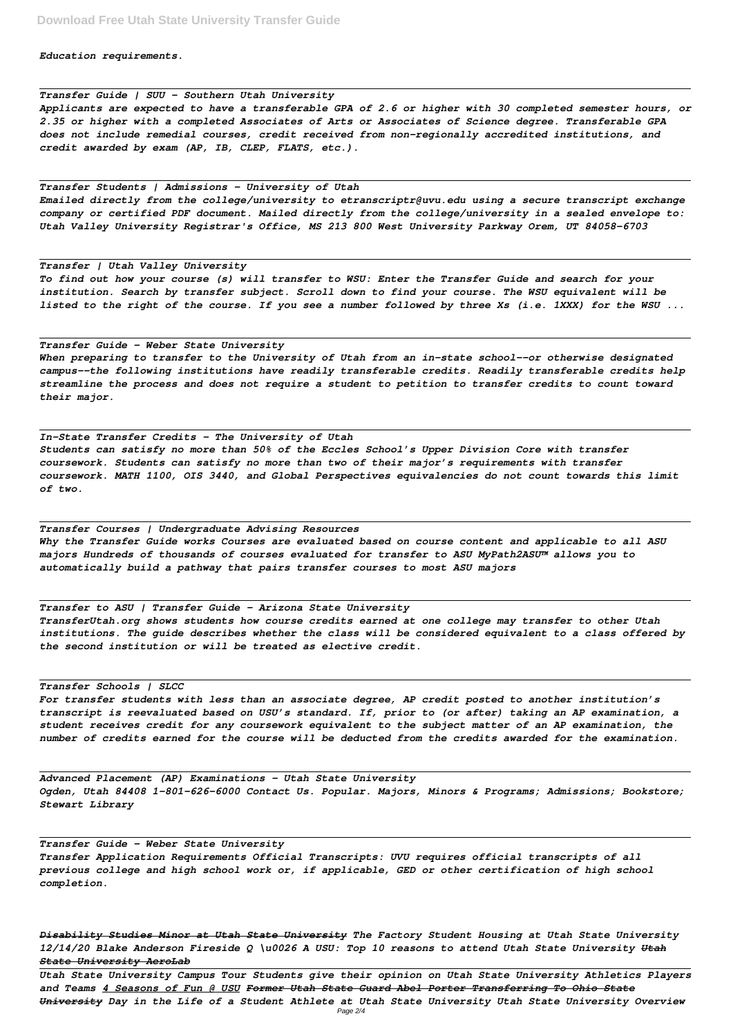*Education requirements.*

*Transfer Guide | SUU - Southern Utah University Applicants are expected to have a transferable GPA of 2.6 or higher with 30 completed semester hours, or 2.35 or higher with a completed Associates of Arts or Associates of Science degree. Transferable GPA does not include remedial courses, credit received from non-regionally accredited institutions, and credit awarded by exam (AP, IB, CLEP, FLATS, etc.).*

*Transfer Students | Admissions - University of Utah*

*Emailed directly from the college/university to etranscriptr@uvu.edu using a secure transcript exchange company or certified PDF document. Mailed directly from the college/university in a sealed envelope to: Utah Valley University Registrar's Office, MS 213 800 West University Parkway Orem, UT 84058-6703*

#### *Transfer | Utah Valley University*

*To find out how your course (s) will transfer to WSU: Enter the Transfer Guide and search for your institution. Search by transfer subject. Scroll down to find your course. The WSU equivalent will be listed to the right of the course. If you see a number followed by three Xs (i.e. 1XXX) for the WSU ...*

### *Transfer Guide - Weber State University*

*When preparing to transfer to the University of Utah from an in-state school--or otherwise designated campus--the following institutions have readily transferable credits. Readily transferable credits help streamline the process and does not require a student to petition to transfer credits to count toward their major.*

#### *In-State Transfer Credits - The University of Utah*

*Students can satisfy no more than 50% of the Eccles School's Upper Division Core with transfer coursework. Students can satisfy no more than two of their major's requirements with transfer coursework. MATH 1100, OIS 3440, and Global Perspectives equivalencies do not count towards this limit of two.*

*Transfer Courses | Undergraduate Advising Resources Why the Transfer Guide works Courses are evaluated based on course content and applicable to all ASU majors Hundreds of thousands of courses evaluated for transfer to ASU MyPath2ASU™ allows you to automatically build a pathway that pairs transfer courses to most ASU majors*

*Transfer to ASU | Transfer Guide - Arizona State University TransferUtah.org shows students how course credits earned at one college may transfer to other Utah institutions. The guide describes whether the class will be considered equivalent to a class offered by the second institution or will be treated as elective credit.*

*Transfer Schools | SLCC*

*For transfer students with less than an associate degree, AP credit posted to another institution's transcript is reevaluated based on USU's standard. If, prior to (or after) taking an AP examination, a student receives credit for any coursework equivalent to the subject matter of an AP examination, the number of credits earned for the course will be deducted from the credits awarded for the examination.*

*Ogden, Utah 84408 1-801-626-6000 Contact Us. Popular. Majors, Minors & Programs; Admissions; Bookstore; Stewart Library*

*Transfer Guide - Weber State University*

*Transfer Application Requirements Official Transcripts: UVU requires official transcripts of all previous college and high school work or, if applicable, GED or other certification of high school completion.*

*Disability Studies Minor at Utah State University The Factory Student Housing at Utah State University 12/14/20 Blake Anderson Fireside Q \u0026 A USU: Top 10 reasons to attend Utah State University Utah State University AeroLab*

*Utah State University Campus Tour Students give their opinion on Utah State University Athletics Players and Teams 4 Seasons of Fun @ USU Former Utah State Guard Abel Porter Transferring To Ohio State University Day in the Life of a Student Athlete at Utah State University Utah State University Overview* Page 2/4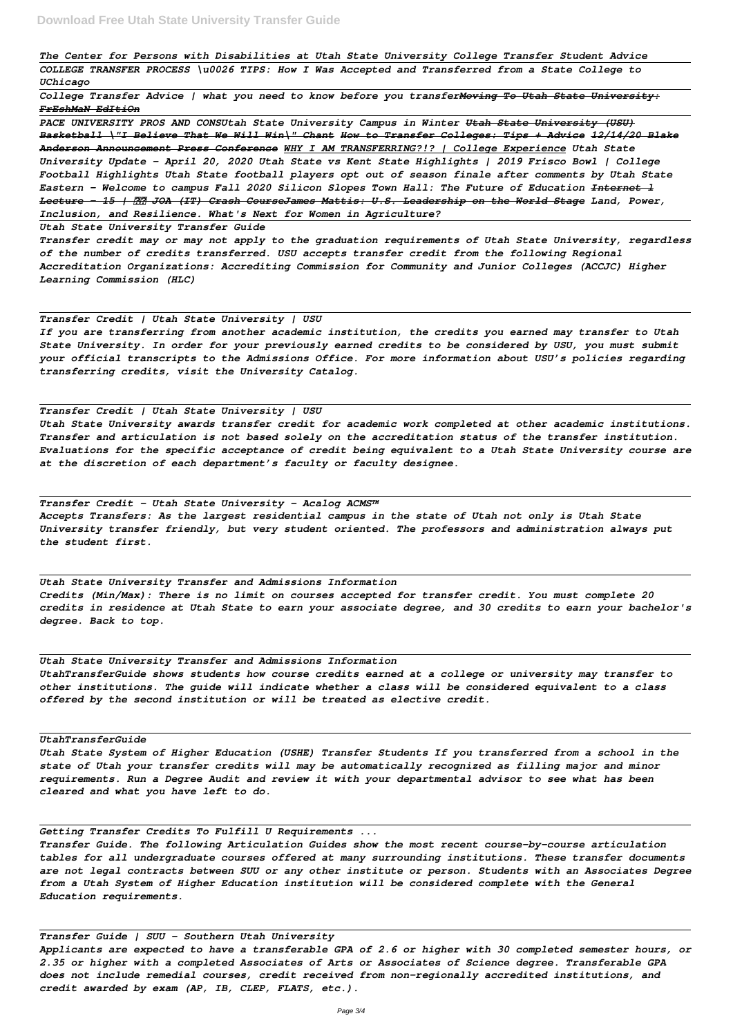*The Center for Persons with Disabilities at Utah State University College Transfer Student Advice COLLEGE TRANSFER PROCESS \u0026 TIPS: How I Was Accepted and Transferred from a State College to UChicago*

*College Transfer Advice | what you need to know before you transferMoving To Utah State University: FrEshMaN EdItiOn*

*PACE UNIVERSITY PROS AND CONSUtah State University Campus in Winter Utah State University (USU) Basketball \"I Believe That We Will Win\" Chant How to Transfer Colleges: Tips + Advice 12/14/20 Blake Anderson Announcement Press Conference WHY I AM TRANSFERRING?!? | College Experience Utah State University Update - April 20, 2020 Utah State vs Kent State Highlights | 2019 Frisco Bowl | College Football Highlights Utah State football players opt out of season finale after comments by Utah State Eastern - Welcome to campus Fall 2020 Silicon Slopes Town Hall: The Future of Education Internet l Lecture - 15 | JOA (IT) Crash CourseJames Mattis: U.S. Leadership on the World Stage Land, Power, Inclusion, and Resilience. What's Next for Women in Agriculture?*

*Utah State University Transfer Guide*

*Transfer credit may or may not apply to the graduation requirements of Utah State University, regardless of the number of credits transferred. USU accepts transfer credit from the following Regional Accreditation Organizations: Accrediting Commission for Community and Junior Colleges (ACCJC) Higher Learning Commission (HLC)*

*Transfer Credit | Utah State University | USU If you are transferring from another academic institution, the credits you earned may transfer to Utah State University. In order for your previously earned credits to be considered by USU, you must submit your official transcripts to the Admissions Office. For more information about USU's policies regarding transferring credits, visit the University Catalog.*

#### *Transfer Credit | Utah State University | USU*

*Utah State University awards transfer credit for academic work completed at other academic institutions. Transfer and articulation is not based solely on the accreditation status of the transfer institution. Evaluations for the specific acceptance of credit being equivalent to a Utah State University course are at the discretion of each department's faculty or faculty designee.*

*Transfer Credit - Utah State University - Acalog ACMS™ Accepts Transfers: As the largest residential campus in the state of Utah not only is Utah State University transfer friendly, but very student oriented. The professors and administration always put the student first.*

*Utah State University Transfer and Admissions Information Credits (Min/Max): There is no limit on courses accepted for transfer credit. You must complete 20 credits in residence at Utah State to earn your associate degree, and 30 credits to earn your bachelor's degree. Back to top.*

*Utah State University Transfer and Admissions Information UtahTransferGuide shows students how course credits earned at a college or university may transfer to other institutions. The guide will indicate whether a class will be considered equivalent to a class offered by the second institution or will be treated as elective credit.*

*UtahTransferGuide*

*Utah State System of Higher Education (USHE) Transfer Students If you transferred from a school in the state of Utah your transfer credits will may be automatically recognized as filling major and minor requirements. Run a Degree Audit and review it with your departmental advisor to see what has been cleared and what you have left to do.*

*Getting Transfer Credits To Fulfill U Requirements ...*

*Transfer Guide. The following Articulation Guides show the most recent course-by-course articulation tables for all undergraduate courses offered at many surrounding institutions. These transfer documents are not legal contracts between SUU or any other institute or person. Students with an Associates Degree from a Utah System of Higher Education institution will be considered complete with the General Education requirements.*

*Transfer Guide | SUU - Southern Utah University Applicants are expected to have a transferable GPA of 2.6 or higher with 30 completed semester hours, or 2.35 or higher with a completed Associates of Arts or Associates of Science degree. Transferable GPA does not include remedial courses, credit received from non-regionally accredited institutions, and credit awarded by exam (AP, IB, CLEP, FLATS, etc.).*